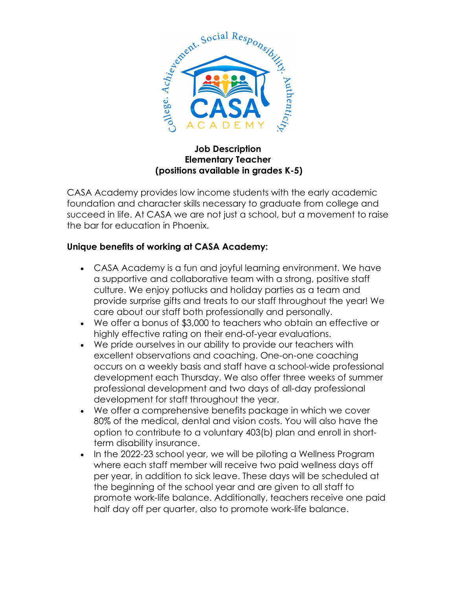

## **Job Description Elementary Teacher (positions available in grades K-5)**

CASA Academy provides low income students with the early academic foundation and character skills necessary to graduate from college and succeed in life. At CASA we are not just a school, but a movement to raise the bar for education in Phoenix.

## **Unique benefits of working at CASA Academy:**

- CASA Academy is a fun and joyful learning environment. We have a supportive and collaborative team with a strong, positive staff culture. We enjoy potlucks and holiday parties as a team and provide surprise gifts and treats to our staff throughout the year! We care about our staff both professionally and personally.
- We offer a bonus of \$3,000 to teachers who obtain an effective or highly effective rating on their end-of-year evaluations.
- We pride ourselves in our ability to provide our teachers with excellent observations and coaching. One-on-one coaching occurs on a weekly basis and staff have a school-wide professional development each Thursday. We also offer three weeks of summer professional development and two days of all-day professional development for staff throughout the year.
- We offer a comprehensive benefits package in which we cover 80% of the medical, dental and vision costs. You will also have the option to contribute to a voluntary 403(b) plan and enroll in shortterm disability insurance.
- In the 2022-23 school year, we will be piloting a Wellness Program where each staff member will receive two paid wellness days off per year, in addition to sick leave. These days will be scheduled at the beginning of the school year and are given to all staff to promote work-life balance. Additionally, teachers receive one paid half day off per quarter, also to promote work-life balance.